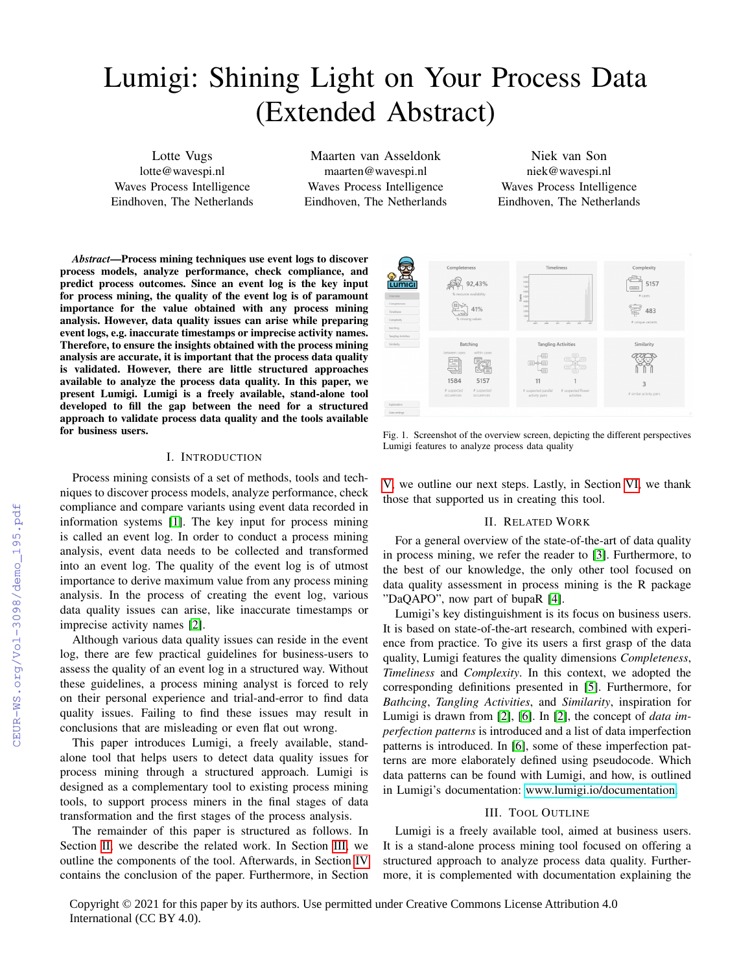# Lumigi: Shining Light on Your Process Data (Extended Abstract)

Lotte Vugs lotte@wavespi.nl Waves Process Intelligence Eindhoven, The Netherlands

Maarten van Asseldonk maarten@wavespi.nl Waves Process Intelligence Eindhoven, The Netherlands

Niek van Son niek@wavespi.nl Waves Process Intelligence Eindhoven, The Netherlands

*Abstract*—Process mining techniques use event logs to discover process models, analyze performance, check compliance, and predict process outcomes. Since an event log is the key input for process mining, the quality of the event log is of paramount importance for the value obtained with any process mining analysis. However, data quality issues can arise while preparing event logs, e.g. inaccurate timestamps or imprecise activity names. Therefore, to ensure the insights obtained with the process mining analysis are accurate, it is important that the process data quality is validated. However, there are little structured approaches available to analyze the process data quality. In this paper, we present Lumigi. Lumigi is a freely available, stand-alone tool developed to fill the gap between the need for a structured approach to validate process data quality and the tools available for business users.

## I. INTRODUCTION

Process mining consists of a set of methods, tools and techniques to discover process models, analyze performance, check compliance and compare variants using event data recorded in information systems [\[1\]](#page--1-0). The key input for process mining is called an event log. In order to conduct a process mining analysis, event data needs to be collected and transformed into an event log. The quality of the event log is of utmost importance to derive maximum value from any process mining analysis. In the process of creating the event log, various data quality issues can arise, like inaccurate timestamps or imprecise activity names [\[2\]](#page--1-1).

Although various data quality issues can reside in the event log, there are few practical guidelines for business-users to assess the quality of an event log in a structured way. Without these guidelines, a process mining analyst is forced to rely on their personal experience and trial-and-error to find data quality issues. Failing to find these issues may result in conclusions that are misleading or even flat out wrong.

This paper introduces Lumigi, a freely available, standalone tool that helps users to detect data quality issues for process mining through a structured approach. Lumigi is designed as a complementary tool to existing process mining tools, to support process miners in the final stages of data transformation and the first stages of the process analysis.

The remainder of this paper is structured as follows. In Section [II,](#page-0-0) we describe the related work. In Section [III,](#page-0-1) we outline the components of the tool. Afterwards, in Section [IV](#page--1-2) contains the conclusion of the paper. Furthermore, in Section



Fig. 1. Screenshot of the overview screen, depicting the different perspectives Lumigi features to analyze process data quality

[V,](#page--1-3) we outline our next steps. Lastly, in Section [VI,](#page--1-4) we thank those that supported us in creating this tool.

## II. RELATED WORK

<span id="page-0-0"></span>For a general overview of the state-of-the-art of data quality in process mining, we refer the reader to [\[3\]](#page--1-5). Furthermore, to the best of our knowledge, the only other tool focused on data quality assessment in process mining is the R package "DaQAPO", now part of bupaR [\[4\]](#page--1-6).

Lumigi's key distinguishment is its focus on business users. It is based on state-of-the-art research, combined with experience from practice. To give its users a first grasp of the data quality, Lumigi features the quality dimensions *Completeness*, *Timeliness* and *Complexity*. In this context, we adopted the corresponding definitions presented in [\[5\]](#page--1-7). Furthermore, for *Bathcing*, *Tangling Activities*, and *Similarity*, inspiration for Lumigi is drawn from [\[2\]](#page--1-1), [\[6\]](#page--1-8). In [\[2\]](#page--1-1), the concept of *data imperfection patterns* is introduced and a list of data imperfection patterns is introduced. In [\[6\]](#page--1-8), some of these imperfection patterns are more elaborately defined using pseudocode. Which data patterns can be found with Lumigi, and how, is outlined in Lumigi's documentation: [www.lumigi.io/documentation.](www.lumigi.io/documentation)

#### III. TOOL OUTLINE

<span id="page-0-1"></span>Lumigi is a freely available tool, aimed at business users. It is a stand-alone process mining tool focused on offering a structured approach to analyze process data quality. Furthermore, it is complemented with documentation explaining the